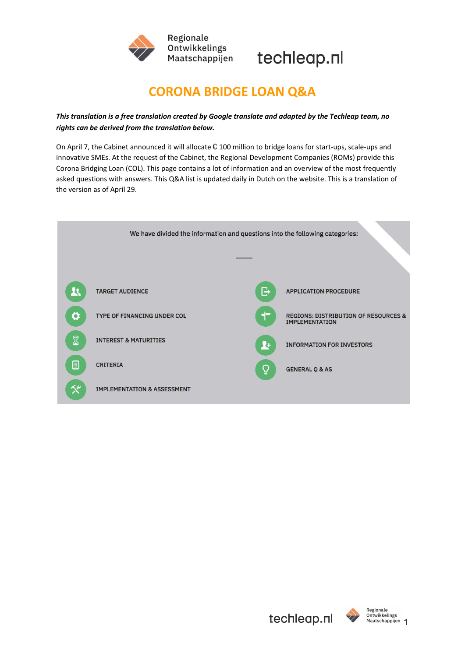



# **CORONA BRIDGE LOAN Q&A**

# *This translation is a free translation created by Google translate and adapted by the Techleap team, no rights can be derived from the translation below.*

On April 7, the Cabinet announced it will allocate  $\epsilon$  100 million to bridge loans for start-ups, scale-ups and innovative SMEs. At the request of the Cabinet, the Regional Development Companies (ROMs) provide this Corona Bridging Loan (COL). This page contains a lot of information and an overview of the most frequently asked questions with answers. This Q&A list is updated daily in Dutch on the website. This is a translation of the version as of April 29.



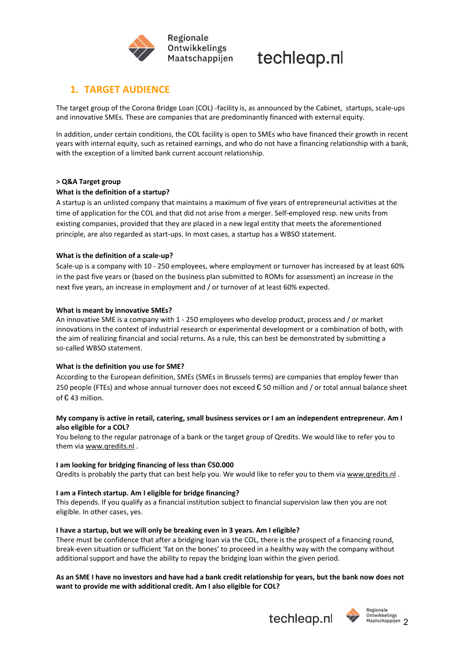

# **1. TARGET AUDIENCE**

The target group of the Corona Bridge Loan (COL) -facility is, as announced by the Cabinet, startups, scale-ups and innovative SMEs. These are companies that are predominantly financed with external equity.

In addition, under certain conditions, the COL facility is open to SMEs who have financed their growth in recent years with internal equity, such as retained earnings, and who do not have a financing relationship with a bank, with the exception of a limited bank current account relationship.

#### **> Q&A Target group**

#### **What is the definition of a startup?**

A startup is an unlisted company that maintains a maximum of five years of entrepreneurial activities at the time of application for the COL and that did not arise from a merger. Self-employed resp. new units from existing companies, provided that they are placed in a new legal entity that meets the aforementioned principle, are also regarded as start-ups. In most cases, a startup has a WBSO statement.

#### **What is the definition of a scale-up?**

Scale-up is a company with 10 - 250 employees, where employment or turnover has increased by at least 60% in the past five years or (based on the business plan submitted to ROMs for assessment) an increase in the next five years, an increase in employment and / or turnover of at least 60% expected.

#### **What is meant by innovative SMEs?**

An innovative SME is a company with 1 - 250 employees who develop product, process and / or market innovations in the context of industrial research or experimental development or a combination of both, with the aim of realizing financial and social returns. As a rule, this can best be demonstrated by submitting a so-called WBSO statement.

#### **What is the definition you use for SME?**

According to the European definition, SMEs (SMEs in Brussels terms) are companies that employ fewer than 250 people (FTEs) and whose annual turnover does not exceed  $\epsilon$  50 million and / or total annual balance sheet of € 43 million.

#### My company is active in retail, catering, small business services or I am an independent entrepreneur. Am I **also eligible for a COL?**

You belong to the regular patronage of a bank or the target group of Qredits. We would like to refer you to them via [www.qredits.nl](http://www.qredits.nl/) .

#### **I am looking for bridging financing of less than** €**50.000**

Qredits is probably the party that can best help you. We would like to refer you to them via [www.qredits.nl](http://www.qredits.nl/).

#### **I am a Fintech startup. Am I eligible for bridge financing?**

This depends. If you qualify as a financial institution subject to financial supervision law then you are not eligible. In other cases, yes.

#### **I have a startup, but we will only be breaking even in 3 years. Am I eligible?**

There must be confidence that after a bridging loan via the COL, there is the prospect of a financing round, break-even situation or sufficient 'fat on the bones' to proceed in a healthy way with the company without additional support and have the ability to repay the bridging loan within the given period.

#### As an SME I have no investors and have had a bank credit relationship for years, but the bank now does not **want to provide me with additional credit. Am I also eligible for COL?**





Ontwikkelings Maatschappijen 2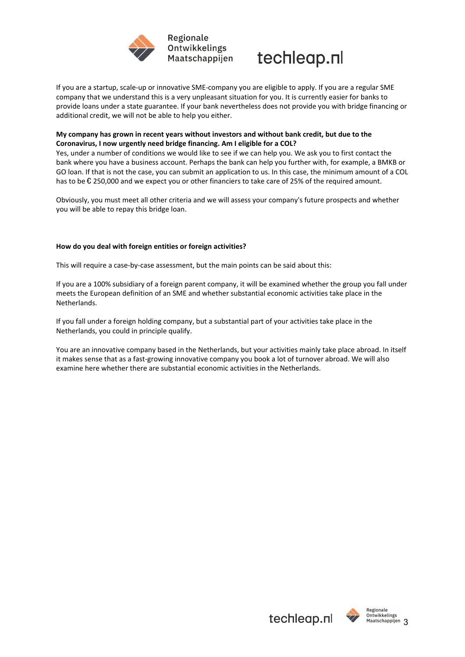



If you are a startup, scale-up or innovative SME-company you are eligible to apply. If you are a regular SME company that we understand this is a very unpleasant situation for you. It is currently easier for banks to provide loans under a state guarantee. If your bank nevertheless does not provide you with bridge financing or additional credit, we will not be able to help you either.

### **My company has grown in recent years without investors and without bank credit, but due to the Coronavirus, I now urgently need bridge financing. Am I eligible for a COL?**

Yes, under a number of conditions we would like to see if we can help you. We ask you to first contact the bank where you have a business account. Perhaps the bank can help you further with, for example, a BMKB or GO loan. If that is not the case, you can submit an application to us. In this case, the minimum amount of a COL has to be € 250,000 and we expect you or other financiers to take care of 25% of the required amount.

Obviously, you must meet all other criteria and we will assess your company's future prospects and whether you will be able to repay this bridge loan.

#### **How do you deal with foreign entities or foreign activities?**

This will require a case-by-case assessment, but the main points can be said about this:

If you are a 100% subsidiary of a foreign parent company, it will be examined whether the group you fall under meets the European definition of an SME and whether substantial economic activities take place in the Netherlands.

If you fall under a foreign holding company, but a substantial part of your activities take place in the Netherlands, you could in principle qualify.

You are an innovative company based in the Netherlands, but your activities mainly take place abroad. In itself it makes sense that as a fast-growing innovative company you book a lot of turnover abroad. We will also examine here whether there are substantial economic activities in the Netherlands.

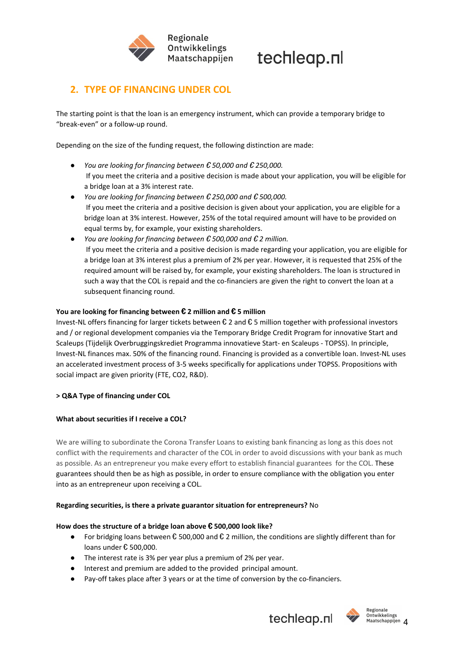



# **2. TYPE OF FINANCING UNDER COL**

The starting point is that the loan is an emergency instrument, which can provide a temporary bridge to "break-even" or a follow-up round.

Depending on the size of the funding request, the following distinction are made:

- *You are looking for financing between* € *50,000 and* € *250,000.* If you meet the criteria and a positive decision is made about your application, you will be eligible for a bridge loan at a 3% interest rate.
- *You are looking for financing between* € *250,000 and* € *500,000.* If you meet the criteria and a positive decision is given about your application, you are eligible for a bridge loan at 3% interest. However, 25% of the total required amount will have to be provided on equal terms by, for example, your existing shareholders.
- *You are looking for financing between* € *500,000 and* € *2 million.* If you meet the criteria and a positive decision is made regarding your application, you are eligible for a bridge loan at 3% interest plus a premium of 2% per year. However, it is requested that 25% of the required amount will be raised by, for example, your existing shareholders. The loan is structured in such a way that the COL is repaid and the co-financiers are given the right to convert the loan at a subsequent financing round.

#### **You are looking for financing between** € **2 million and** € **5 million**

Invest-NL offers financing for larger tickets between € 2 and € 5 million together with professional investors and / or regional development companies via the Temporary Bridge Credit Program for innovative Start and Scaleups (Tijdelijk Overbruggingskrediet Programma innovatieve Start- en Scaleups - TOPSS). In principle, Invest-NL finances max. 50% of the financing round. Financing is provided as a convertible loan. Invest-NL uses an accelerated investment process of 3-5 weeks specifically for applications under TOPSS. Propositions with social impact are given priority (FTE, CO2, R&D).

## **> Q&A Type of financing under COL**

#### **What about securities if I receive a COL?**

We are willing to subordinate the Corona Transfer Loans to existing bank financing as long as this does not conflict with the requirements and character of the COL in order to avoid discussions with your bank as much as possible. As an entrepreneur you make every effort to establish financial guarantees for the COL. These guarantees should then be as high as possible, in order to ensure compliance with the obligation you enter into as an entrepreneur upon receiving a COL.

#### **Regarding securities, is there a private guarantor situation for entrepreneurs?** No

#### **How does the structure of a bridge loan above** € **500,000 look like?**

- For bridging loans between € 500,000 and € 2 million, the conditions are slightly different than for loans under € 500,000.
- The interest rate is 3% per year plus a premium of 2% per year.
- Interest and premium are added to the provided principal amount.
- Pay-off takes place after 3 years or at the time of conversion by the co-financiers.





Regionale Ontwikkelings Maatschappijen 4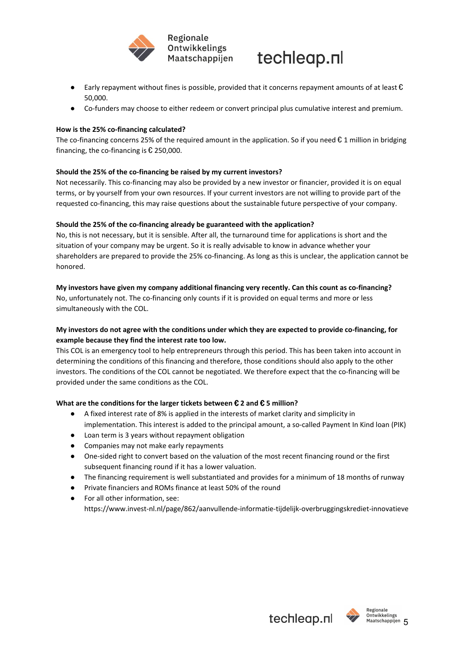



- **•** Early repayment without fines is possible, provided that it concerns repayment amounts of at least  $\epsilon$ 50,000.
- Co-funders may choose to either redeem or convert principal plus cumulative interest and premium.

#### **How is the 25% co-financing calculated?**

The co-financing concerns 25% of the required amount in the application. So if you need  $\epsilon$  1 million in bridging financing, the co-financing is  $E$  250,000.

#### **Should the 25% of the co-financing be raised by my current investors?**

Not necessarily. This co-financing may also be provided by a new investor or financier, provided it is on equal terms, or by yourself from your own resources. If your current investors are not willing to provide part of the requested co-financing, this may raise questions about the sustainable future perspective of your company.

#### **Should the 25% of the co-financing already be guaranteed with the application?**

No, this is not necessary, but it is sensible. After all, the turnaround time for applications is short and the situation of your company may be urgent. So it is really advisable to know in advance whether your shareholders are prepared to provide the 25% co-financing. As long as this is unclear, the application cannot be honored.

#### **My investors have given my company additional financing very recently. Can this count as co-financing?**

No, unfortunately not. The co-financing only counts if it is provided on equal terms and more or less simultaneously with the COL.

## **My investors do not agree with the conditions under which they are expected to provide co-financing, for example because they find the interest rate too low.**

This COL is an emergency tool to help entrepreneurs through this period. This has been taken into account in determining the conditions of this financing and therefore, those conditions should also apply to the other investors. The conditions of the COL cannot be negotiated. We therefore expect that the co-financing will be provided under the same conditions as the COL.

## **What are the conditions for the larger tickets between** € **2 and** € **5 million?**

- A fixed interest rate of 8% is applied in the interests of market clarity and simplicity in implementation. This interest is added to the principal amount, a so-called Payment In Kind loan (PIK)
- Loan term is 3 years without repayment obligation
- Companies may not make early repayments
- One-sided right to convert based on the valuation of the most recent financing round or the first subsequent financing round if it has a lower valuation.
- The financing requirement is well substantiated and provides for a minimum of 18 months of runway
- Private financiers and ROMs finance at least 50% of the round
- For all other information, see: https://www.invest-nl.nl/page/862/aanvullende-informatie-tijdelijk-overbruggingskrediet-innovatieve



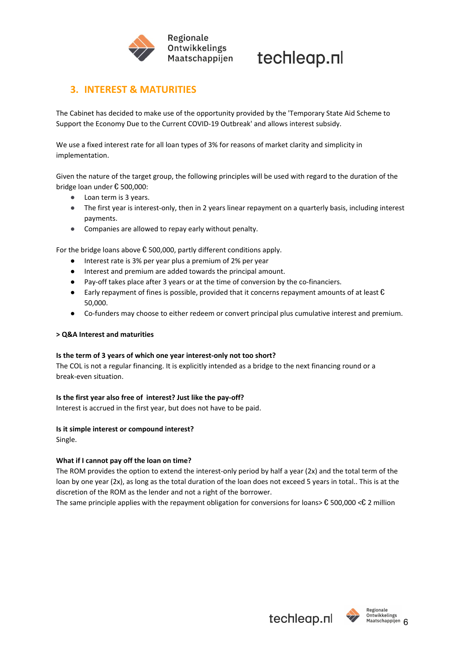

# **3. INTEREST & MATURITIES**

The Cabinet has decided to make use of the opportunity provided by the 'Temporary State Aid Scheme to Support the Economy Due to the Current COVID-19 Outbreak' and allows interest subsidy.

We use a fixed interest rate for all loan types of 3% for reasons of market clarity and simplicity in implementation.

Given the nature of the target group, the following principles will be used with regard to the duration of the bridge loan under € 500,000:

- Loan term is 3 years.
- The first year is interest-only, then in 2 years linear repayment on a quarterly basis, including interest payments.
- Companies are allowed to repay early without penalty.

For the bridge loans above  $\epsilon$  500,000, partly different conditions apply.

- Interest rate is 3% per year plus a premium of 2% per year
- Interest and premium are added towards the principal amount.
- Pay-off takes place after 3 years or at the time of conversion by the co-financiers.
- **•** Early repayment of fines is possible, provided that it concerns repayment amounts of at least  $\epsilon$ 50,000.
- Co-funders may choose to either redeem or convert principal plus cumulative interest and premium.

#### **> Q&A Interest and maturities**

#### **Is the term of 3 years of which one year interest-only not too short?**

The COL is not a regular financing. It is explicitly intended as a bridge to the next financing round or a break-even situation.

#### **Is the first year also free of interest? Just like the pay-off?**

Interest is accrued in the first year, but does not have to be paid.

#### **Is it simple interest or compound interest?** Single.

# **What if I cannot pay off the loan on time?**

The ROM provides the option to extend the interest-only period by half a year (2x) and the total term of the loan by one year (2x), as long as the total duration of the loan does not exceed 5 years in total.. This is at the discretion of the ROM as the lender and not a right of the borrower.

The same principle applies with the repayment obligation for conversions for loans>  $\epsilon$  500,000 < $\epsilon$  2 million

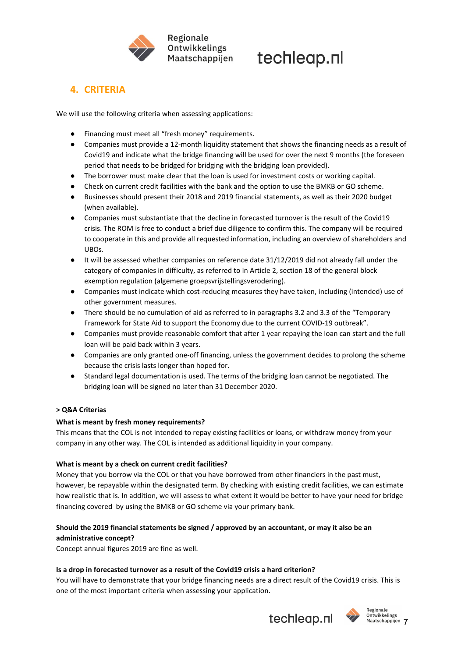

# **4. CRITERIA**

We will use the following criteria when assessing applications:

- Financing must meet all "fresh money" requirements.
- Companies must provide a 12-month liquidity statement that shows the financing needs as a result of Covid19 and indicate what the bridge financing will be used for over the next 9 months (the foreseen period that needs to be bridged for bridging with the bridging loan provided).
- The borrower must make clear that the loan is used for investment costs or working capital.
- Check on current credit facilities with the bank and the option to use the BMKB or GO scheme.
- Businesses should present their 2018 and 2019 financial statements, as well as their 2020 budget (when available).
- Companies must substantiate that the decline in forecasted turnover is the result of the Covid19 crisis. The ROM is free to conduct a brief due diligence to confirm this. The company will be required to cooperate in this and provide all requested information, including an overview of shareholders and UBOs.
- It will be assessed whether companies on reference date 31/12/2019 did not already fall under the category of companies in difficulty, as referred to in Article 2, section 18 of the general block exemption regulation (algemene groepsvrijstellingsverodering).
- Companies must indicate which cost-reducing measures they have taken, including (intended) use of other government measures.
- There should be no cumulation of aid as referred to in paragraphs 3.2 and 3.3 of the "Temporary Framework for State Aid to support the Economy due to the current COVID-19 outbreak".
- Companies must provide reasonable comfort that after 1 year repaying the loan can start and the full loan will be paid back within 3 years.
- Companies are only granted one-off financing, unless the government decides to prolong the scheme because the crisis lasts longer than hoped for.
- Standard legal documentation is used. The terms of the bridging loan cannot be negotiated. The bridging loan will be signed no later than 31 December 2020.

## **> Q&A Criterias**

## **What is meant by fresh money requirements?**

This means that the COL is not intended to repay existing facilities or loans, or withdraw money from your company in any other way. The COL is intended as additional liquidity in your company.

## **What is meant by a check on current credit facilities?**

Money that you borrow via the COL or that you have borrowed from other financiers in the past must, however, be repayable within the designated term. By checking with existing credit facilities, we can estimate how realistic that is. In addition, we will assess to what extent it would be better to have your need for bridge financing covered by using the BMKB or GO scheme via your primary bank.

# **Should the 2019 financial statements be signed / approved by an accountant, or may it also be an administrative concept?**

Concept annual figures 2019 are fine as well.

## **Is a drop in forecasted turnover as a result of the Covid19 crisis a hard criterion?**

You will have to demonstrate that your bridge financing needs are a direct result of the Covid19 crisis. This is one of the most important criteria when assessing your application.





Ontwikkelings Maatschappijen 7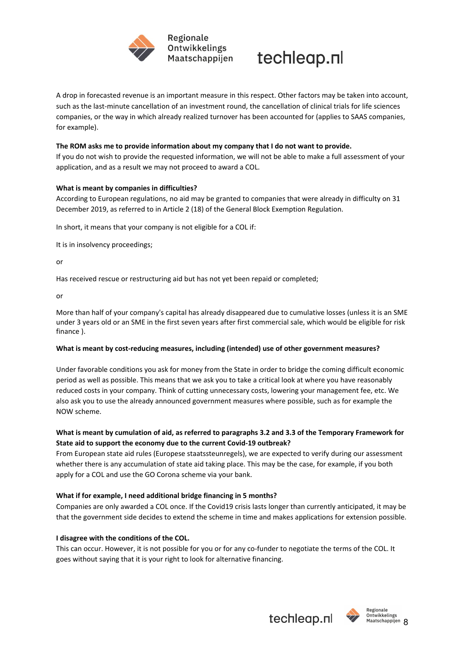



A drop in forecasted revenue is an important measure in this respect. Other factors may be taken into account, such as the last-minute cancellation of an investment round, the cancellation of clinical trials for life sciences companies, or the way in which already realized turnover has been accounted for (applies to SAAS companies, for example).

#### **The ROM asks me to provide information about my company that I do not want to provide.**

If you do not wish to provide the requested information, we will not be able to make a full assessment of your application, and as a result we may not proceed to award a COL.

#### **What is meant by companies in difficulties?**

According to European regulations, no aid may be granted to companies that were already in difficulty on 31 December 2019, as referred to in Article 2 (18) of the General Block Exemption Regulation.

In short, it means that your company is not eligible for a COL if:

It is in insolvency proceedings;

or

Has received rescue or restructuring aid but has not yet been repaid or completed;

or

More than half of your company's capital has already disappeared due to cumulative losses (unless it is an SME under 3 years old or an SME in the first seven years after first commercial sale, which would be eligible for risk finance ).

#### **What is meant by cost-reducing measures, including (intended) use of other government measures?**

Under favorable conditions you ask for money from the State in order to bridge the coming difficult economic period as well as possible. This means that we ask you to take a critical look at where you have reasonably reduced costs in your company. Think of cutting unnecessary costs, lowering your management fee, etc. We also ask you to use the already announced government measures where possible, such as for example the NOW scheme.

## What is meant by cumulation of aid, as referred to paragraphs 3.2 and 3.3 of the Temporary Framework for **State aid to support the economy due to the current Covid-19 outbreak?**

From European state aid rules (Europese staatssteunregels), we are expected to verify during our assessment whether there is any accumulation of state aid taking place. This may be the case, for example, if you both apply for a COL and use the GO Corona scheme via your bank.

## **What if for example, I need additional bridge financing in 5 months?**

Companies are only awarded a COL once. If the Covid19 crisis lasts longer than currently anticipated, it may be that the government side decides to extend the scheme in time and makes applications for extension possible.

#### **I disagree with the conditions of the COL.**

This can occur. However, it is not possible for you or for any co-funder to negotiate the terms of the COL. It goes without saying that it is your right to look for alternative financing.





Ontwikkelings Maatschappijen 8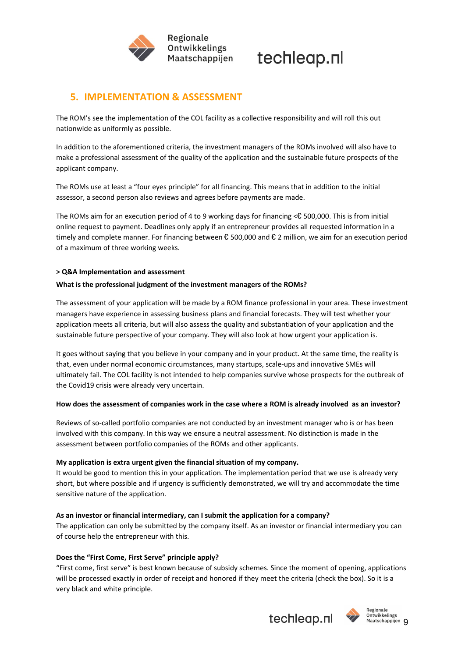



# **5. IMPLEMENTATION & ASSESSMENT**

The ROM's see the implementation of the COL facility as a collective responsibility and will roll this out nationwide as uniformly as possible.

In addition to the aforementioned criteria, the investment managers of the ROMs involved will also have to make a professional assessment of the quality of the application and the sustainable future prospects of the applicant company.

The ROMs use at least a "four eyes principle" for all financing. This means that in addition to the initial assessor, a second person also reviews and agrees before payments are made.

The ROMs aim for an execution period of 4 to 9 working days for financing <€ 500,000. This is from initial online request to payment. Deadlines only apply if an entrepreneur provides all requested information in a timely and complete manner. For financing between € 500,000 and € 2 million, we aim for an execution period of a maximum of three working weeks.

#### **> Q&A Implementation and assessment**

#### **What is the professional judgment of the investment managers of the ROMs?**

The assessment of your application will be made by a ROM finance professional in your area. These investment managers have experience in assessing business plans and financial forecasts. They will test whether your application meets all criteria, but will also assess the quality and substantiation of your application and the sustainable future perspective of your company. They will also look at how urgent your application is.

It goes without saying that you believe in your company and in your product. At the same time, the reality is that, even under normal economic circumstances, many startups, scale-ups and innovative SMEs will ultimately fail. The COL facility is not intended to help companies survive whose prospects for the outbreak of the Covid19 crisis were already very uncertain.

#### How does the assessment of companies work in the case where a ROM is already involved as an investor?

Reviews of so-called portfolio companies are not conducted by an investment manager who is or has been involved with this company. In this way we ensure a neutral assessment. No distinction is made in the assessment between portfolio companies of the ROMs and other applicants.

#### **My application is extra urgent given the financial situation of my company.**

It would be good to mention this in your application. The implementation period that we use is already very short, but where possible and if urgency is sufficiently demonstrated, we will try and accommodate the time sensitive nature of the application.

## **As an investor or financial intermediary, can I submit the application for a company?**

The application can only be submitted by the company itself. As an investor or financial intermediary you can of course help the entrepreneur with this.

#### **Does the "First Come, First Serve" principle apply?**

"First come, first serve" is best known because of subsidy schemes. Since the moment of opening, applications will be processed exactly in order of receipt and honored if they meet the criteria (check the box). So it is a very black and white principle.



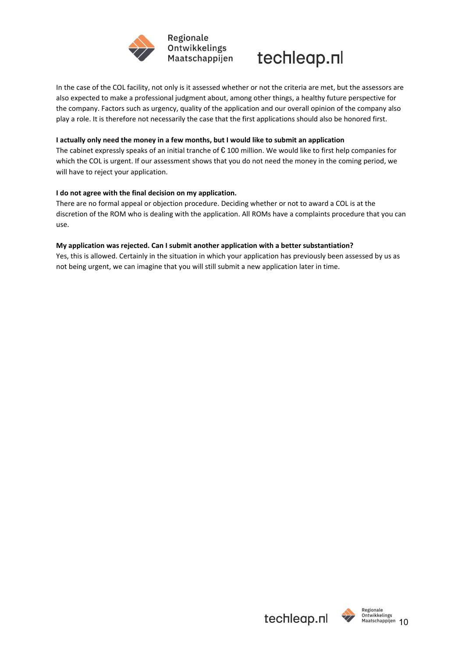



## In the case of the COL facility, not only is it assessed whether or not the criteria are met, but the assessors are also expected to make a professional judgment about, among other things, a healthy future perspective for the company. Factors such as urgency, quality of the application and our overall opinion of the company also play a role. It is therefore not necessarily the case that the first applications should also be honored first.

### **I actually only need the money in a few months, but I would like to submit an application**

The cabinet expressly speaks of an initial tranche of  $\epsilon$  100 million. We would like to first help companies for which the COL is urgent. If our assessment shows that you do not need the money in the coming period, we will have to reject your application.

#### **I do not agree with the final decision on my application.**

There are no formal appeal or objection procedure. Deciding whether or not to award a COL is at the discretion of the ROM who is dealing with the application. All ROMs have a complaints procedure that you can use.

#### **My application was rejected. Can I submit another application with a better substantiation?**

Yes, this is allowed. Certainly in the situation in which your application has previously been assessed by us as not being urgent, we can imagine that you will still submit a new application later in time.



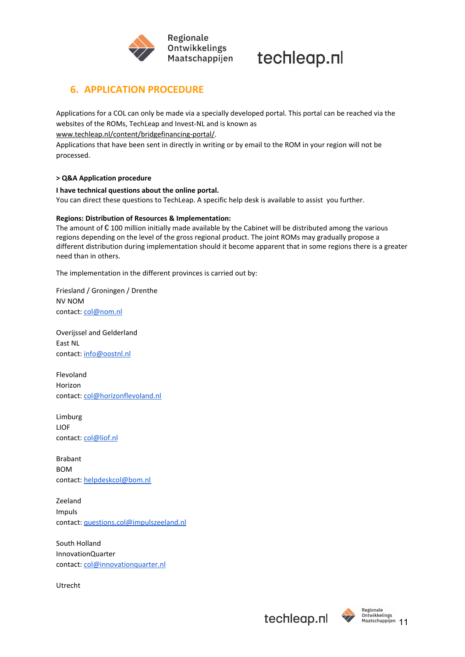

# **6. APPLICATION PROCEDURE**

Applications for a COL can only be made via a specially developed portal. This portal can be reached via the websites of the ROMs, TechLeap and Invest-NL and is known as

[www.techleap.nl/content/bridgefinancing-portal/](https://www.techleap.nl/content/bridgefinancing-portal/).

Applications that have been sent in directly in writing or by email to the ROM in your region will not be processed.

## **> Q&A Application procedure**

#### **I have technical questions about the online portal.**

You can direct these questions to TechLeap. A specific help desk is available to assist you further.

## **Regions: Distribution of Resources & Implementation:**

The amount of  $\epsilon$  100 million initially made available by the Cabinet will be distributed among the various regions depending on the level of the gross regional product. The joint ROMs may gradually propose a different distribution during implementation should it become apparent that in some regions there is a greater need than in others.

The implementation in the different provinces is carried out by:

Friesland / Groningen / Drenthe NV NOM contact: [col@nom.nl](mailto:col@nom.nl)

Overijssel and Gelderland East NL contact: [info@oostnl.nl](mailto:info@oostnl.nl)

Flevoland Horizon contact: [col@horizonflevoland.nl](mailto:col@horizonflevoland.nl)

Limburg LIOF contact: [col@liof.nl](mailto:col@liof.nl)

Brabant BOM contact: [helpdeskcol@bom.nl](mailto:helpdeskcol@bom.nl)

Zeeland Impuls contact: [questions.col@impulszeeland.nl](mailto:questions.col@impulszeeland.nl)

South Holland InnovationQuarter contact: [col@innovationquarter.nl](mailto:col@innovationquarter.nl)

Utrecht



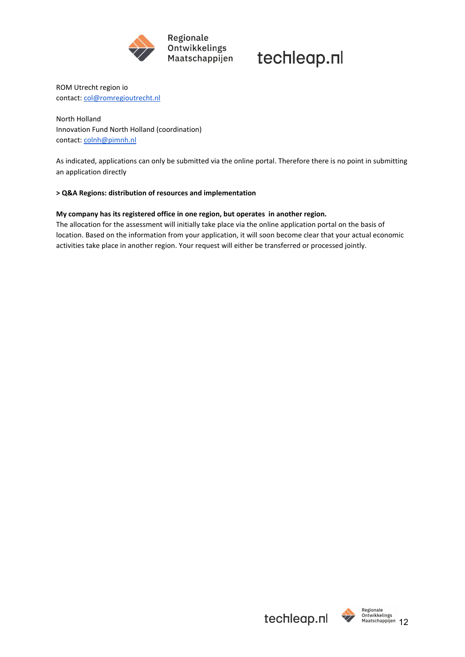

ROM Utrecht region io contact: [col@romregioutrecht.nl](mailto:col@romregioutrecht.nl)

North Holland Innovation Fund North Holland (coordination) contact: [colnh@pimnh.nl](mailto:colnh@pimnh.nl)

As indicated, applications can only be submitted via the online portal. Therefore there is no point in submitting an application directly

#### **> Q&A Regions: distribution of resources and implementation**

#### **My company has its registered office in one region, but operates in another region.**

The allocation for the assessment will initially take place via the online application portal on the basis of location. Based on the information from your application, it will soon become clear that your actual economic activities take place in another region. Your request will either be transferred or processed jointly.



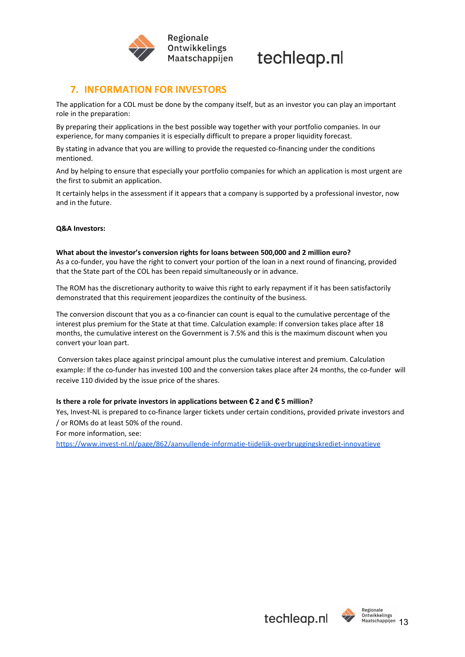



# **7. INFORMATION FOR INVESTORS**

The application for a COL must be done by the company itself, but as an investor you can play an important role in the preparation:

By preparing their applications in the best possible way together with your portfolio companies. In our experience, for many companies it is especially difficult to prepare a proper liquidity forecast.

By stating in advance that you are willing to provide the requested co-financing under the conditions mentioned.

And by helping to ensure that especially your portfolio companies for which an application is most urgent are the first to submit an application.

It certainly helps in the assessment if it appears that a company is supported by a professional investor, now and in the future.

#### **Q&A Investors:**

#### **What about the investor's conversion rights for loans between 500,000 and 2 million euro?**

As a co-funder, you have the right to convert your portion of the loan in a next round of financing, provided that the State part of the COL has been repaid simultaneously or in advance.

The ROM has the discretionary authority to waive this right to early repayment if it has been satisfactorily demonstrated that this requirement jeopardizes the continuity of the business.

The conversion discount that you as a co-financier can count is equal to the cumulative percentage of the interest plus premium for the State at that time. Calculation example: If conversion takes place after 18 months, the cumulative interest on the Government is 7.5% and this is the maximum discount when you convert your loan part.

Conversion takes place against principal amount plus the cumulative interest and premium. Calculation example: If the co-funder has invested 100 and the conversion takes place after 24 months, the co-funder will receive 110 divided by the issue price of the shares.

#### **Is there a role for private investors in applications between** € **2 and** € **5 million?**

Yes, Invest-NL is prepared to co-finance larger tickets under certain conditions, provided private investors and / or ROMs do at least 50% of the round.

For more information, see:

<https://www.invest-nl.nl/page/862/aanvullende-informatie-tijdelijk-overbruggingskrediet-innovatieve>